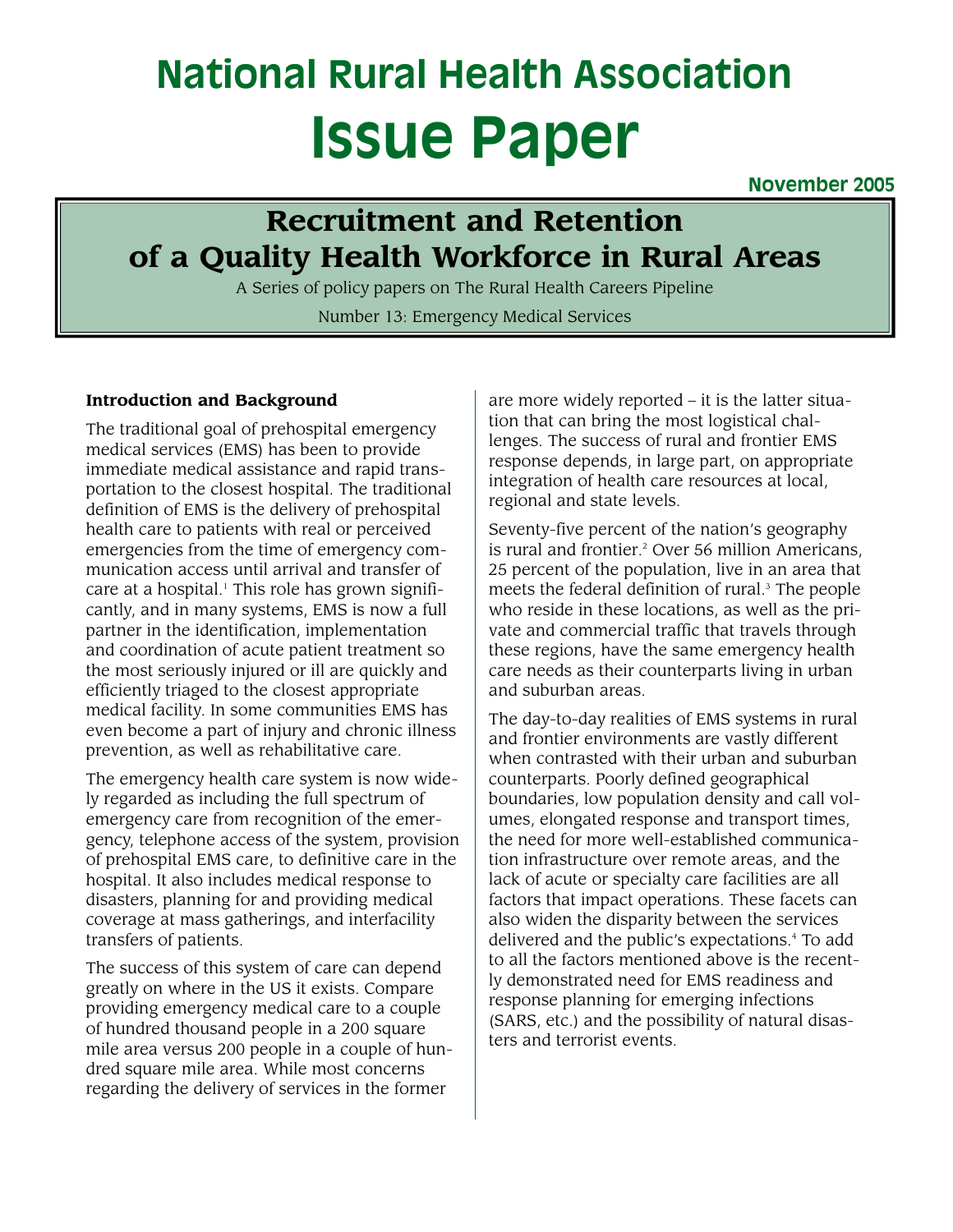# **National Rural Health Association Issue Paper**

**November 2005**

# **Recruitment and Retention of a Quality Health Workforce in Rural Areas**

A Series of policy papers on The Rural Health Careers Pipeline Number 13: Emergency Medical Services

# **Introduction and Background**

The traditional goal of prehospital emergency medical services (EMS) has been to provide immediate medical assistance and rapid transportation to the closest hospital. The traditional definition of EMS is the delivery of prehospital health care to patients with real or perceived emergencies from the time of emergency communication access until arrival and transfer of care at a hospital.<sup>1</sup> This role has grown significantly, and in many systems, EMS is now a full partner in the identification, implementation and coordination of acute patient treatment so the most seriously injured or ill are quickly and efficiently triaged to the closest appropriate medical facility. In some communities EMS has even become a part of injury and chronic illness prevention, as well as rehabilitative care.

The emergency health care system is now widely regarded as including the full spectrum of emergency care from recognition of the emergency, telephone access of the system, provision of prehospital EMS care, to definitive care in the hospital. It also includes medical response to disasters, planning for and providing medical coverage at mass gatherings, and interfacility transfers of patients.

The success of this system of care can depend greatly on where in the US it exists. Compare providing emergency medical care to a couple of hundred thousand people in a 200 square mile area versus 200 people in a couple of hundred square mile area. While most concerns regarding the delivery of services in the former

are more widely reported – it is the latter situation that can bring the most logistical challenges. The success of rural and frontier EMS response depends, in large part, on appropriate integration of health care resources at local, regional and state levels.

Seventy-five percent of the nation's geography is rural and frontier. <sup>2</sup> Over 56 million Americans, 25 percent of the population, live in an area that meets the federal definition of rural.<sup>3</sup> The people who reside in these locations, as well as the private and commercial traffic that travels through these regions, have the same emergency health care needs as their counterparts living in urban and suburban areas.

The day-to-day realities of EMS systems in rural and frontier environments are vastly different when contrasted with their urban and suburban counterparts. Poorly defined geographical boundaries, low population density and call volumes, elongated response and transport times, the need for more well-established communication infrastructure over remote areas, and the lack of acute or specialty care facilities are all factors that impact operations. These facets can also widen the disparity between the services delivered and the public's expectations.<sup>4</sup> To add to all the factors mentioned above is the recently demonstrated need for EMS readiness and response planning for emerging infections (SARS, etc.) and the possibility of natural disasters and terrorist events.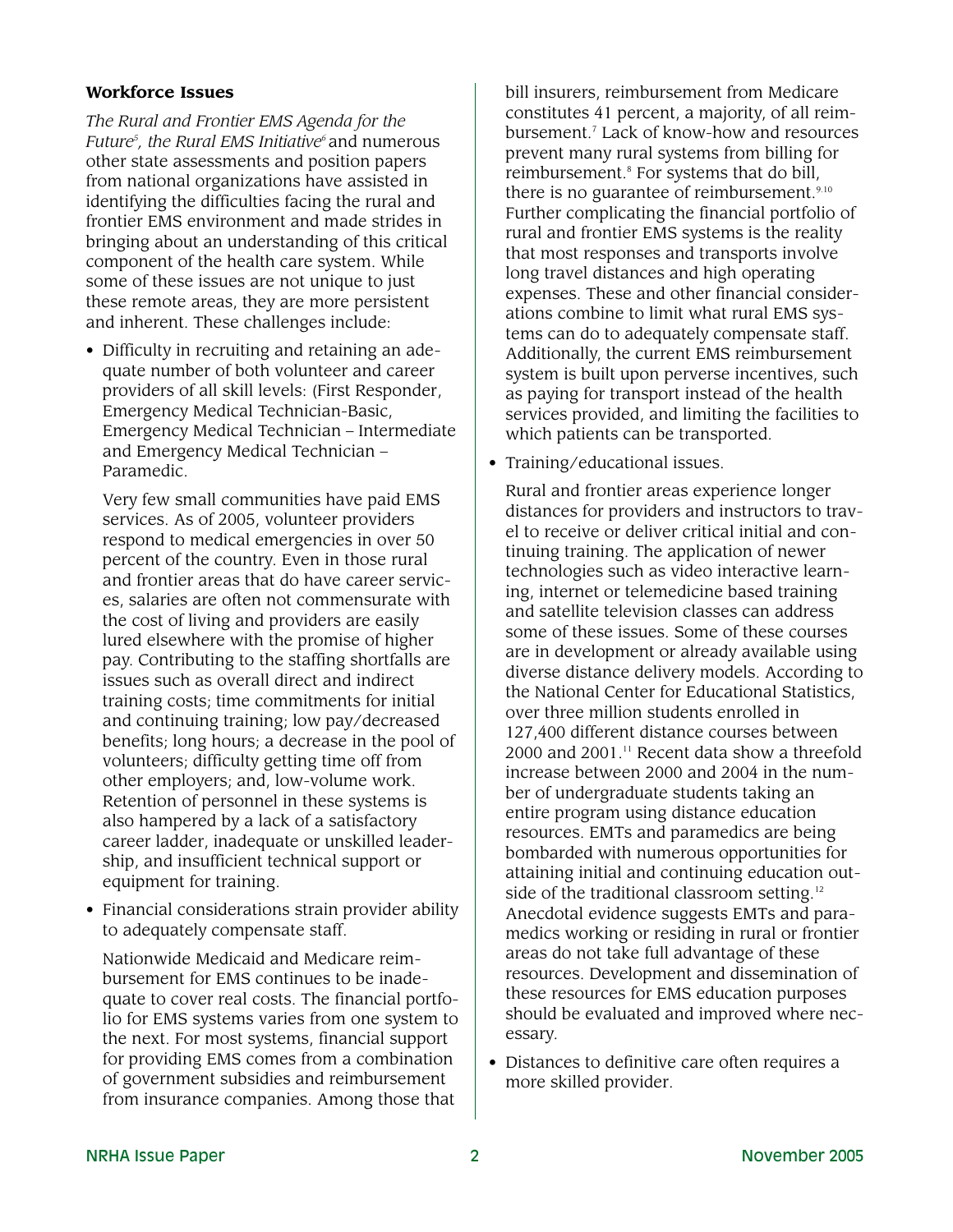#### **Workforce Issues**

*The Rural and Frontier EMS Agenda for the Future5 , the Rural EMS Initiative6* and numerous other state assessments and position papers from national organizations have assisted in identifying the difficulties facing the rural and frontier EMS environment and made strides in bringing about an understanding of this critical component of the health care system. While some of these issues are not unique to just these remote areas, they are more persistent and inherent. These challenges include:

• Difficulty in recruiting and retaining an adequate number of both volunteer and career providers of all skill levels: (First Responder, Emergency Medical Technician-Basic, Emergency Medical Technician – Intermediate and Emergency Medical Technician – Paramedic.

Very few small communities have paid EMS services. As of 2005, volunteer providers respond to medical emergencies in over 50 percent of the country. Even in those rural and frontier areas that do have career services, salaries are often not commensurate with the cost of living and providers are easily lured elsewhere with the promise of higher pay. Contributing to the staffing shortfalls are issues such as overall direct and indirect training costs; time commitments for initial and continuing training; low pay/decreased benefits; long hours; a decrease in the pool of volunteers; difficulty getting time off from other employers; and, low-volume work. Retention of personnel in these systems is also hampered by a lack of a satisfactory career ladder, inadequate or unskilled leadership, and insufficient technical support or equipment for training.

• Financial considerations strain provider ability to adequately compensate staff.

Nationwide Medicaid and Medicare reimbursement for EMS continues to be inadequate to cover real costs. The financial portfolio for EMS systems varies from one system to the next. For most systems, financial support for providing EMS comes from a combination of government subsidies and reimbursement from insurance companies. Among those that

bill insurers, reimbursement from Medicare constitutes 41 percent, a majority, of all reimbursement.7 Lack of know-how and resources prevent many rural systems from billing for reimbursement.<sup>8</sup> For systems that do bill, there is no guarantee of reimbursement.<sup>9.10</sup> Further complicating the financial portfolio of rural and frontier EMS systems is the reality that most responses and transports involve long travel distances and high operating expenses. These and other financial considerations combine to limit what rural EMS systems can do to adequately compensate staff. Additionally, the current EMS reimbursement system is built upon perverse incentives, such as paying for transport instead of the health services provided, and limiting the facilities to which patients can be transported.

• Training/educational issues.

Rural and frontier areas experience longer distances for providers and instructors to travel to receive or deliver critical initial and continuing training. The application of newer technologies such as video interactive learning, internet or telemedicine based training and satellite television classes can address some of these issues. Some of these courses are in development or already available using diverse distance delivery models. According to the National Center for Educational Statistics, over three million students enrolled in 127,400 different distance courses between  $2000$  and  $2001$ .<sup>11</sup> Recent data show a threefold increase between 2000 and 2004 in the number of undergraduate students taking an entire program using distance education resources. EMTs and paramedics are being bombarded with numerous opportunities for attaining initial and continuing education outside of the traditional classroom setting.<sup>12</sup> Anecdotal evidence suggests EMTs and paramedics working or residing in rural or frontier areas do not take full advantage of these resources. Development and dissemination of these resources for EMS education purposes should be evaluated and improved where necessary.

• Distances to definitive care often requires a more skilled provider.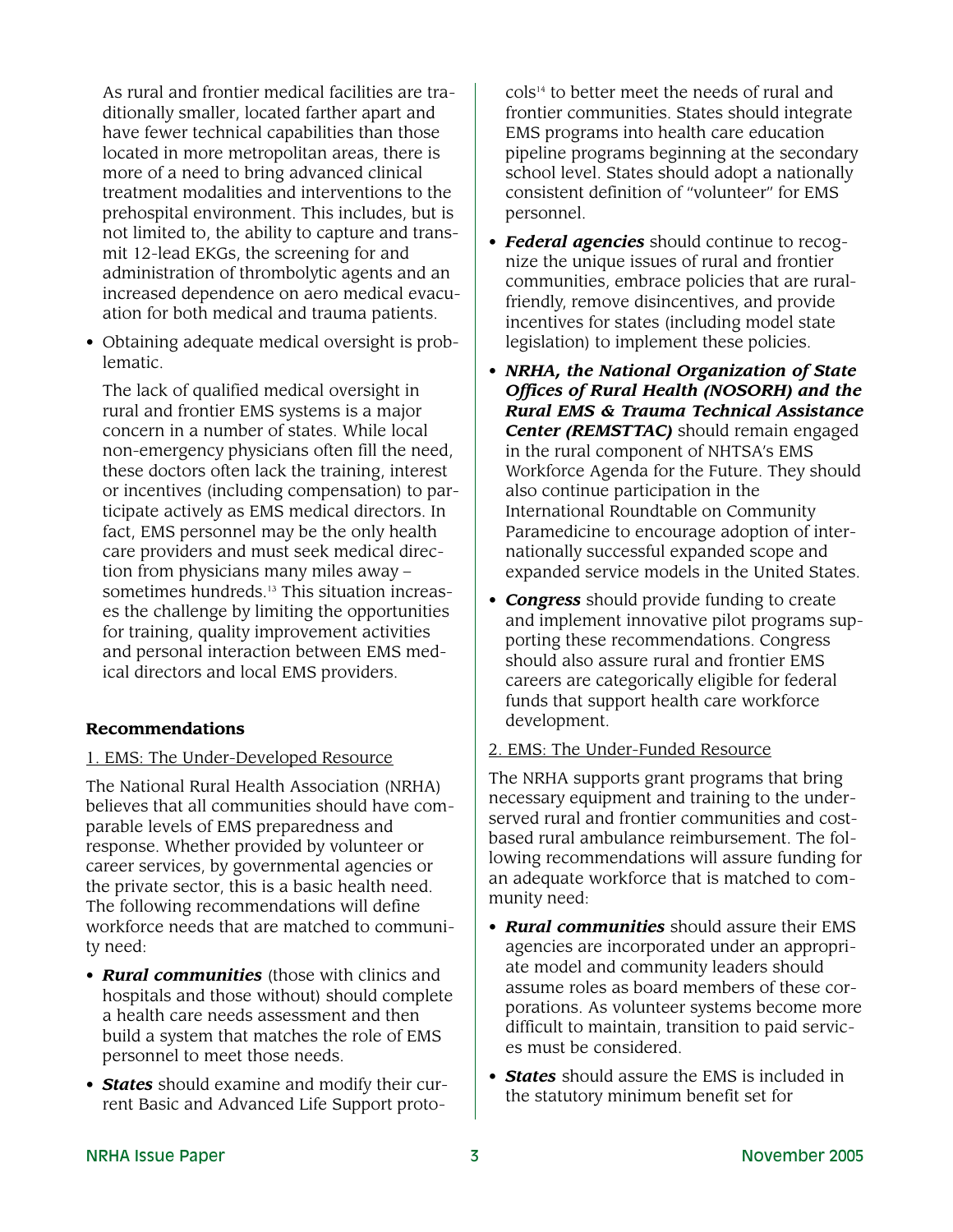As rural and frontier medical facilities are traditionally smaller, located farther apart and have fewer technical capabilities than those located in more metropolitan areas, there is more of a need to bring advanced clinical treatment modalities and interventions to the prehospital environment. This includes, but is not limited to, the ability to capture and transmit 12-lead EKGs, the screening for and administration of thrombolytic agents and an increased dependence on aero medical evacuation for both medical and trauma patients.

• Obtaining adequate medical oversight is problematic.

The lack of qualified medical oversight in rural and frontier EMS systems is a major concern in a number of states. While local non-emergency physicians often fill the need, these doctors often lack the training, interest or incentives (including compensation) to participate actively as EMS medical directors. In fact, EMS personnel may be the only health care providers and must seek medical direction from physicians many miles away – sometimes hundreds.<sup>13</sup> This situation increases the challenge by limiting the opportunities for training, quality improvement activities and personal interaction between EMS medical directors and local EMS providers.

# **Recommendations**

# 1. EMS: The Under-Developed Resource

The National Rural Health Association (NRHA) believes that all communities should have comparable levels of EMS preparedness and response. Whether provided by volunteer or career services, by governmental agencies or the private sector, this is a basic health need. The following recommendations will define workforce needs that are matched to community need:

- *Rural communities* (those with clinics and hospitals and those without) should complete a health care needs assessment and then build a system that matches the role of EMS personnel to meet those needs.
- *States* should examine and modify their current Basic and Advanced Life Support proto-

cols14 to better meet the needs of rural and frontier communities. States should integrate EMS programs into health care education pipeline programs beginning at the secondary school level. States should adopt a nationally consistent definition of "volunteer" for EMS personnel.

- *• Federal agencies* should continue to recognize the unique issues of rural and frontier communities, embrace policies that are ruralfriendly, remove disincentives, and provide incentives for states (including model state legislation) to implement these policies.
- *NRHA, the National Organization of State Offices of Rural Health (NOSORH) and the Rural EMS & Trauma Technical Assistance Center (REMSTTAC)* should remain engaged in the rural component of NHTSA's EMS Workforce Agenda for the Future. They should also continue participation in the International Roundtable on Community Paramedicine to encourage adoption of internationally successful expanded scope and expanded service models in the United States.
- *Congress* should provide funding to create and implement innovative pilot programs supporting these recommendations. Congress should also assure rural and frontier EMS careers are categorically eligible for federal funds that support health care workforce development.

#### 2. EMS: The Under-Funded Resource

The NRHA supports grant programs that bring necessary equipment and training to the underserved rural and frontier communities and costbased rural ambulance reimbursement. The following recommendations will assure funding for an adequate workforce that is matched to community need:

- *Rural communities* should assure their EMS agencies are incorporated under an appropriate model and community leaders should assume roles as board members of these corporations. As volunteer systems become more difficult to maintain, transition to paid services must be considered.
- *States* should assure the EMS is included in the statutory minimum benefit set for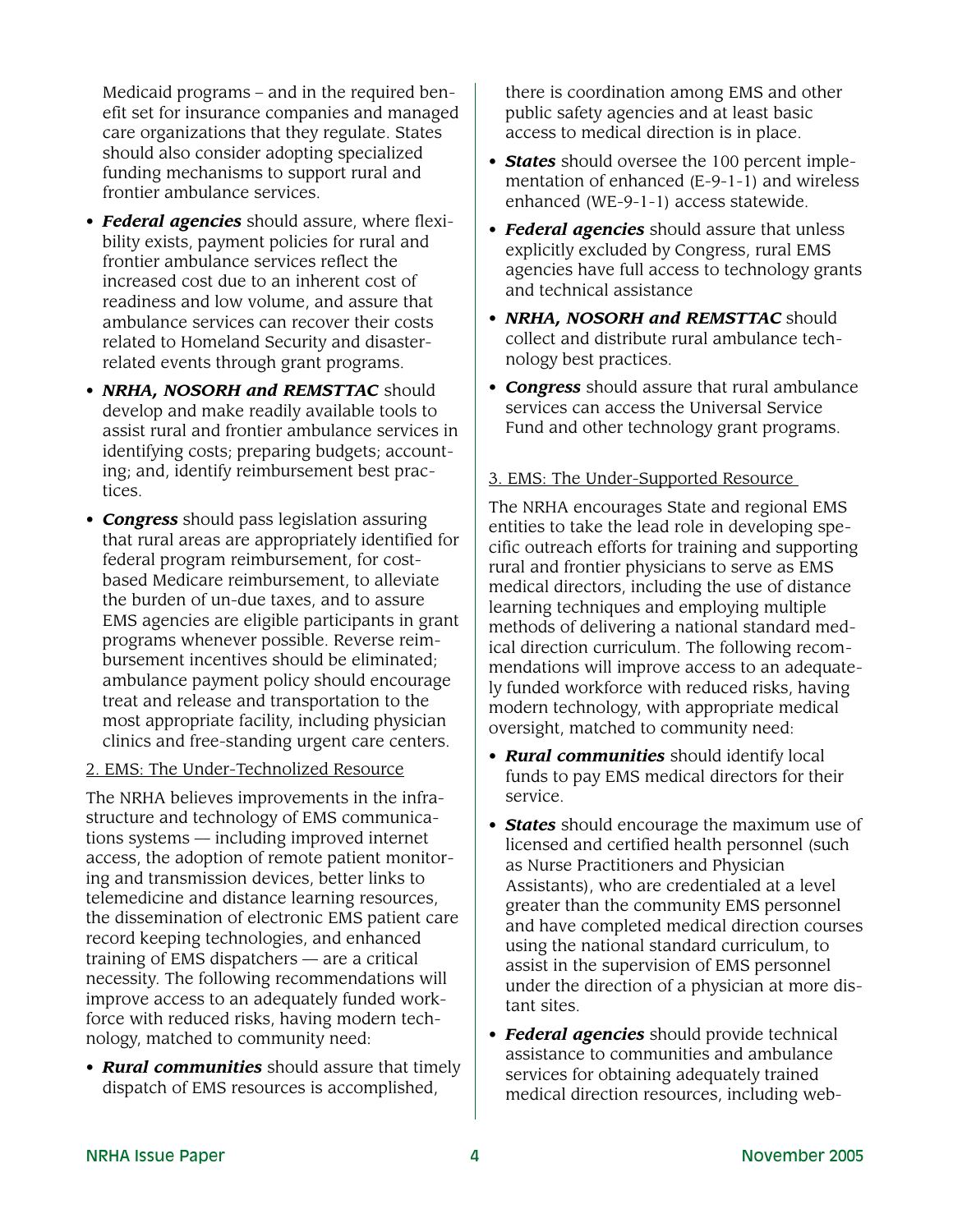Medicaid programs – and in the required benefit set for insurance companies and managed care organizations that they regulate. States should also consider adopting specialized funding mechanisms to support rural and frontier ambulance services.

- *Federal agencies* should assure, where flexibility exists, payment policies for rural and frontier ambulance services reflect the increased cost due to an inherent cost of readiness and low volume, and assure that ambulance services can recover their costs related to Homeland Security and disasterrelated events through grant programs.
- *NRHA, NOSORH and REMSTTAC* should develop and make readily available tools to assist rural and frontier ambulance services in identifying costs; preparing budgets; accounting; and, identify reimbursement best practices.
- *Congress* should pass legislation assuring that rural areas are appropriately identified for federal program reimbursement, for costbased Medicare reimbursement, to alleviate the burden of un-due taxes, and to assure EMS agencies are eligible participants in grant programs whenever possible. Reverse reimbursement incentives should be eliminated; ambulance payment policy should encourage treat and release and transportation to the most appropriate facility, including physician clinics and free-standing urgent care centers.

#### 2. EMS: The Under-Technolized Resource

The NRHA believes improvements in the infrastructure and technology of EMS communications systems — including improved internet access, the adoption of remote patient monitoring and transmission devices, better links to telemedicine and distance learning resources, the dissemination of electronic EMS patient care record keeping technologies, and enhanced training of EMS dispatchers — are a critical necessity. The following recommendations will improve access to an adequately funded workforce with reduced risks, having modern technology, matched to community need:

• *Rural communities* should assure that timely dispatch of EMS resources is accomplished,

there is coordination among EMS and other public safety agencies and at least basic access to medical direction is in place.

- *States* should oversee the 100 percent implementation of enhanced (E-9-1-1) and wireless enhanced (WE-9-1-1) access statewide.
- *Federal agencies* should assure that unless explicitly excluded by Congress, rural EMS agencies have full access to technology grants and technical assistance
- *NRHA, NOSORH and REMSTTAC* should collect and distribute rural ambulance technology best practices.
- *Congress* should assure that rural ambulance services can access the Universal Service Fund and other technology grant programs.

# 3. EMS: The Under-Supported Resource

The NRHA encourages State and regional EMS entities to take the lead role in developing specific outreach efforts for training and supporting rural and frontier physicians to serve as EMS medical directors, including the use of distance learning techniques and employing multiple methods of delivering a national standard medical direction curriculum. The following recommendations will improve access to an adequately funded workforce with reduced risks, having modern technology, with appropriate medical oversight, matched to community need:

- *Rural communities* should identify local funds to pay EMS medical directors for their service.
- *States* should encourage the maximum use of licensed and certified health personnel (such as Nurse Practitioners and Physician Assistants), who are credentialed at a level greater than the community EMS personnel and have completed medical direction courses using the national standard curriculum, to assist in the supervision of EMS personnel under the direction of a physician at more distant sites.
- *Federal agencies* should provide technical assistance to communities and ambulance services for obtaining adequately trained medical direction resources, including web-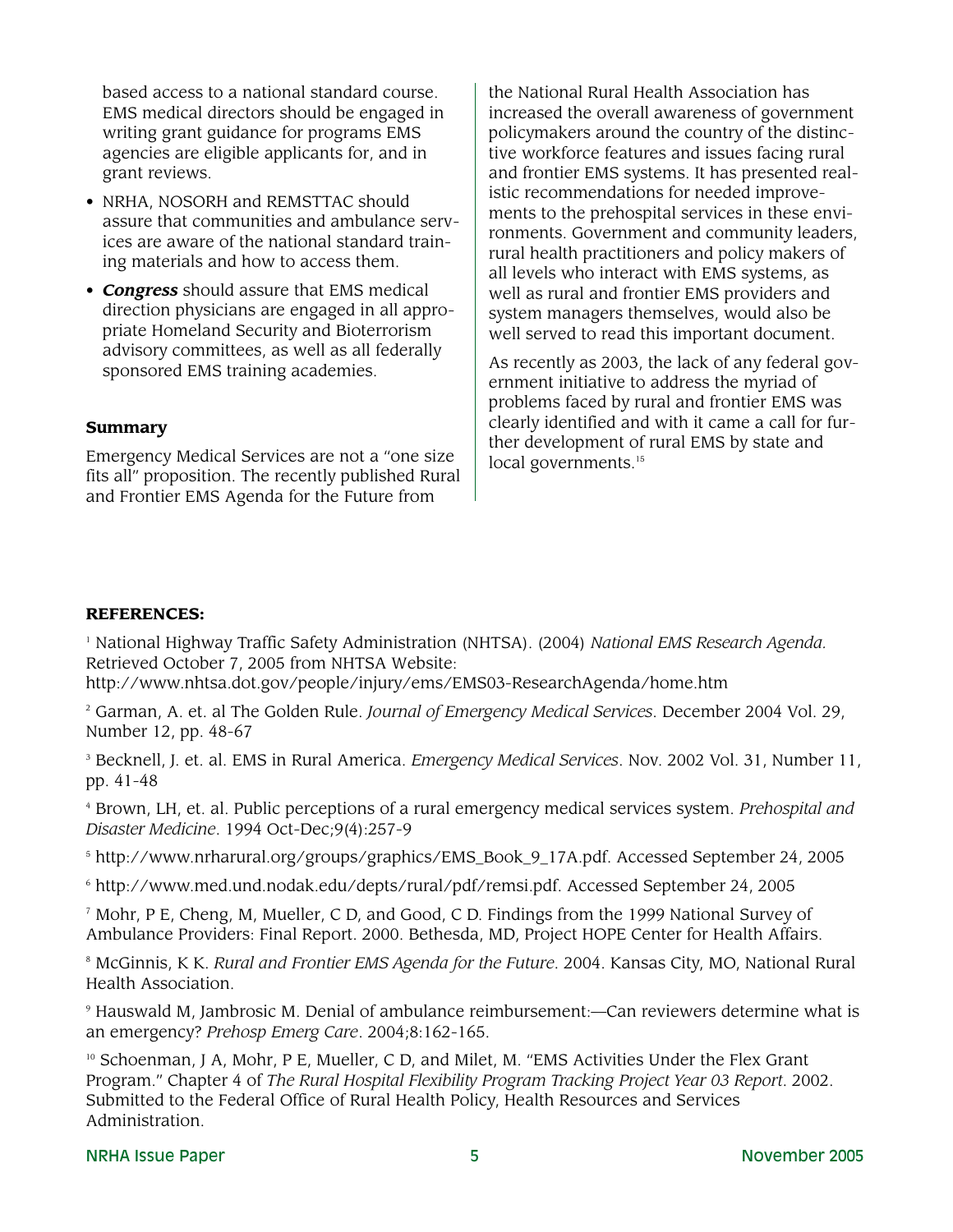based access to a national standard course. EMS medical directors should be engaged in writing grant guidance for programs EMS agencies are eligible applicants for, and in grant reviews.

- NRHA, NOSORH and REMSTTAC should assure that communities and ambulance services are aware of the national standard training materials and how to access them.
- *Congress* should assure that EMS medical direction physicians are engaged in all appropriate Homeland Security and Bioterrorism advisory committees, as well as all federally sponsored EMS training academies.

#### **Summary**

Emergency Medical Services are not a "one size fits all" proposition. The recently published Rural and Frontier EMS Agenda for the Future from

the National Rural Health Association has increased the overall awareness of government policymakers around the country of the distinctive workforce features and issues facing rural and frontier EMS systems. It has presented realistic recommendations for needed improvements to the prehospital services in these environments. Government and community leaders, rural health practitioners and policy makers of all levels who interact with EMS systems, as well as rural and frontier EMS providers and system managers themselves, would also be well served to read this important document.

As recently as 2003, the lack of any federal government initiative to address the myriad of problems faced by rural and frontier EMS was clearly identified and with it came a call for further development of rural EMS by state and local governments.<sup>15</sup>

### **REFERENCES:**

<sup>1</sup> National Highway Traffic Safety Administration (NHTSA). (2004) *National EMS Research Agenda.* Retrieved October 7, 2005 from NHTSA Website:

http://www.nhtsa.dot.gov/people/injury/ems/EMS03-ResearchAgenda/home.htm

<sup>2</sup> Garman, A. et. al The Golden Rule. *Journal of Emergency Medical Services*. December 2004 Vol. 29, Number 12, pp. 48-67

<sup>3</sup> Becknell, J. et. al. EMS in Rural America. *Emergency Medical Services*. Nov. 2002 Vol. 31, Number 11, pp. 41-48

<sup>4</sup> Brown, LH, et. al. Public perceptions of a rural emergency medical services system. *Prehospital and Disaster Medicine*. 1994 Oct-Dec;9(4):257-9

<sup>5</sup> http://www.nrharural.org/groups/graphics/EMS\_Book\_9\_17A.pdf. Accessed September 24, 2005

<sup>6</sup> http://www.med.und.nodak.edu/depts/rural/pdf/remsi.pdf. Accessed September 24, 2005

 $^7$  Mohr, P E, Cheng, M, Mueller, C D, and Good, C D. Findings from the 1999 National Survey of Ambulance Providers: Final Report. 2000. Bethesda, MD, Project HOPE Center for Health Affairs.

<sup>8</sup> McGinnis, K K. *Rural and Frontier EMS Agenda for the Future*. 2004. Kansas City, MO, National Rural Health Association.

<sup>9</sup> Hauswald M, Jambrosic M. Denial of ambulance reimbursement:—Can reviewers determine what is an emergency? *Prehosp Emerg Care*. 2004;8:162-165.

<sup>10</sup> Schoenman, J A, Mohr, P E, Mueller, C D, and Milet, M. "EMS Activities Under the Flex Grant Program." Chapter 4 of *The Rural Hospital Flexibility Program Tracking Project Year 03 Report*. 2002. Submitted to the Federal Office of Rural Health Policy, Health Resources and Services Administration.